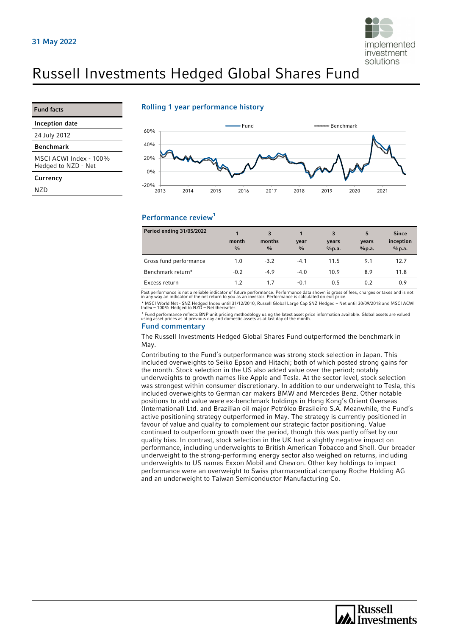

# Russell Investments Hedged Global Shares Fund

#### Fund facts

Inception date

24 July 2012

#### Benchmark

MSCI ACWI Index - 100% Hedged to NZD - Net

#### **Currency**

N<sub>7</sub>D

### Rolling 1 year performance history



## Performance review<sup>1</sup>

| <b>Period ending 31/05/2022</b> | month<br>$\frac{0}{0}$ | 3<br>months<br>$\frac{0}{0}$ | year<br>$\frac{0}{0}$ | 3<br>years<br>%p.a. | 5<br>years<br>%p.a. | <b>Since</b><br>inception<br>%p.a. |
|---------------------------------|------------------------|------------------------------|-----------------------|---------------------|---------------------|------------------------------------|
| Gross fund performance          | 1.0                    | $-3.2$                       | $-4.1$                | 11.5                | 9.1                 | 12.7                               |
| Benchmark return*               | $-0.2$                 | $-4.9$                       | $-4.0$                | 10.9                | 8.9                 | 11.8                               |
| Excess return                   | 1.2                    | 1.7                          | $-0.1$                | 0.5                 | 0.2                 | 0.9                                |

Past performance is not a reliable indicator of future performance. Performance data shown is gross of fees, charges or taxes and is not<br>in any way an indicator of the net return to you as an investor. Performance is calcu \* MSCI World Net - \$NZ Hedged Index until 31/12/2010, Russell Global Large Cap \$NZ Hedged – Net until 30/09/2018 and MSCI ACWI Index – 100% Hedged to NZD – Net thereafter.

1 Fund performance reflects BNP unit pricing methodology using the latest asset price information available. Global assets are valued using asset prices as at previous day and domestic assets as at last day of the month.

### Fund commentary

The Russell Investments Hedged Global Shares Fund outperformed the benchmark in May.

Contributing to the Fund's outperformance was strong stock selection in Japan. This included overweights to Seiko Epson and Hitachi; both of which posted strong gains for the month. Stock selection in the US also added value over the period; notably underweights to growth names like Apple and Tesla. At the sector level, stock selection was strongest within consumer discretionary. In addition to our underweight to Tesla, this included overweights to German car makers BMW and Mercedes Benz. Other notable positions to add value were ex-benchmark holdings in Hong Kong's Orient Overseas (International) Ltd. and Brazilian oil major Petróleo Brasileiro S.A. Meanwhile, the Fund's active positioning strategy outperformed in May. The strategy is currently positioned in favour of value and quality to complement our strategic factor positioning. Value continued to outperform growth over the period, though this was partly offset by our quality bias. In contrast, stock selection in the UK had a slightly negative impact on performance, including underweights to British American Tobacco and Shell. Our broader underweight to the strong-performing energy sector also weighed on returns, including underweights to US names Exxon Mobil and Chevron. Other key holdings to impact performance were an overweight to Swiss pharmaceutical company Roche Holding AG and an underweight to Taiwan Semiconductor Manufacturing Co.

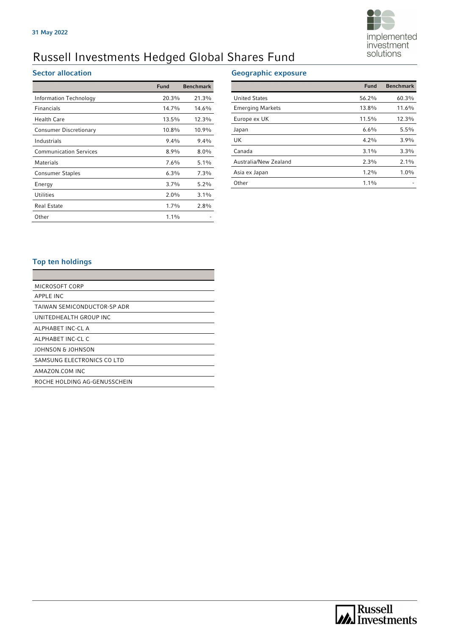

# Russell Investments Hedged Global Shares Fund

# Sector allocation

|                               | <b>Fund</b> | <b>Benchmark</b> |
|-------------------------------|-------------|------------------|
| Information Technology        | 20.3%       | 21.3%            |
| <b>Financials</b>             | 14.7%       | 14.6%            |
| Health Care                   | 13.5%       | 12.3%            |
| <b>Consumer Discretionary</b> | 10.8%       | 10.9%            |
| Industrials                   | $9.4\%$     | $9.4\%$          |
| <b>Communication Services</b> | $8.9\%$     | $8.0\%$          |
| <b>Materials</b>              | 7.6%        | $5.1\%$          |
| <b>Consumer Staples</b>       | $6.3\%$     | $7.3\%$          |
| Energy                        | 3.7%        | $5.2\%$          |
| <b>Utilities</b>              | $2.0\%$     | 3.1%             |
| <b>Real Estate</b>            | $1.7\%$     | $2.8\%$          |
| Other                         | $1.1\%$     |                  |

## Geographic exposure

|                         | <b>Fund</b> | <b>Benchmark</b> |
|-------------------------|-------------|------------------|
| <b>United States</b>    | 56.2%       | 60.3%            |
| <b>Emerging Markets</b> | 13.8%       | 11.6%            |
| Europe ex UK            | 11.5%       | 12.3%            |
| Japan                   | 6.6%        | 5.5%             |
| UK                      | $4.2\%$     | 3.9%             |
| Canada                  | $3.1\%$     | 3.3%             |
| Australia/New Zealand   | 2.3%        | $2.1\%$          |
| Asia ex Japan           | $1.2\%$     | $1.0\%$          |
| Other                   | $1.1\%$     |                  |

# Top ten holdings

| MICROSOFT CORP               |
|------------------------------|
| APPLE INC                    |
| TAIWAN SEMICONDUCTOR-SP ADR  |
| UNITEDHEALTH GROUP INC       |
| ALPHABET INC-CL A            |
| ALPHABET INC-CL C            |
| JOHNSON & JOHNSON            |
| SAMSUNG ELECTRONICS CO LTD   |
| AMAZON COM INC               |
| ROCHE HOLDING AG-GENUSSCHEIN |
|                              |